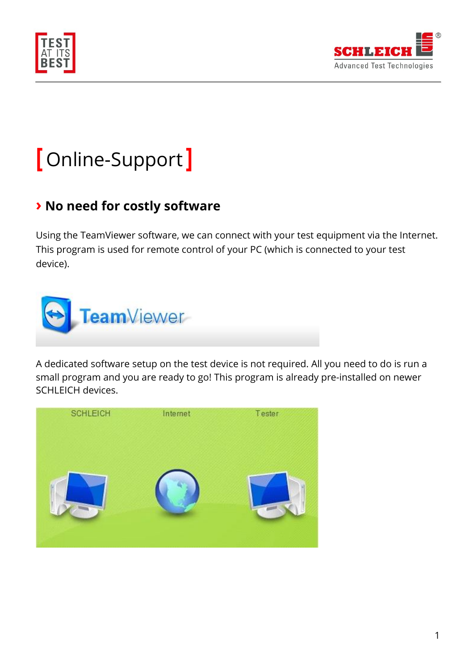



# **[** Online-Support **]**

## **› No need for costly software**

Using the TeamViewer software, we can connect with your test equipment via the Internet. This program is used for remote control of your PC (which is connected to your test device).



A dedicated software setup on the test device is not required. All you need to do is run a small program and you are ready to go! This program is already pre-installed on newer SCHLEICH devices.

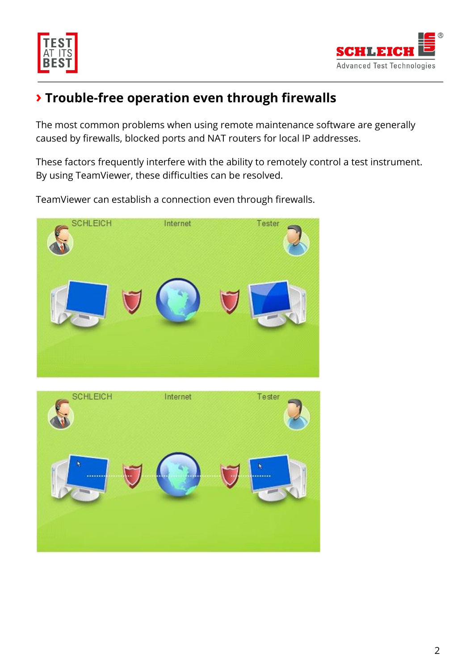



# **› Trouble-free operation even through firewalls**

The most common problems when using remote maintenance software are generally caused by firewalls, blocked ports and NAT routers for local IP addresses.

These factors frequently interfere with the ability to remotely control a test instrument. By using TeamViewer, these difficulties can be resolved.

TeamViewer can establish a connection even through firewalls.



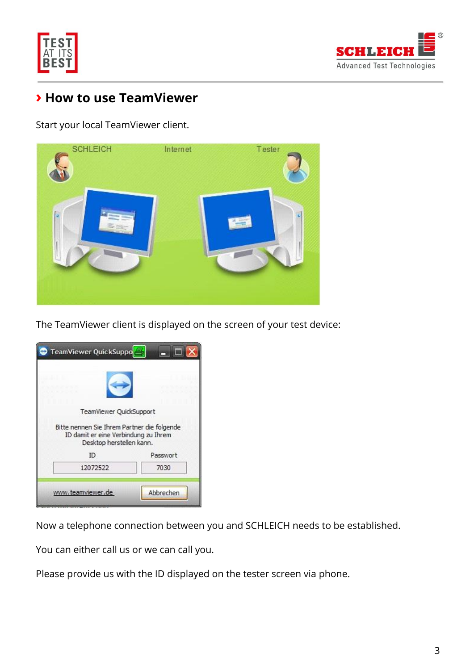



### **› How to use TeamViewer**

Start your local TeamViewer client.



The TeamViewer client is displayed on the screen of your test device:

| <b>TeamViewer QuickSuppo</b>                                                                                    |           |
|-----------------------------------------------------------------------------------------------------------------|-----------|
|                                                                                                                 |           |
| TeamViewer QuickSupport                                                                                         |           |
| Bitte nennen Sie Ihrem Partner die folgende<br>ID damit er eine Verbindung zu Ihrem<br>Desktop herstellen kann. |           |
| ID                                                                                                              | Passwort  |
| 12072522                                                                                                        | 7030      |
| www.teamviewer.de                                                                                               | Abbrechen |

Now a telephone connection between you and SCHLEICH needs to be established.

You can either call us or we can call you.

Please provide us with the ID displayed on the tester screen via phone.